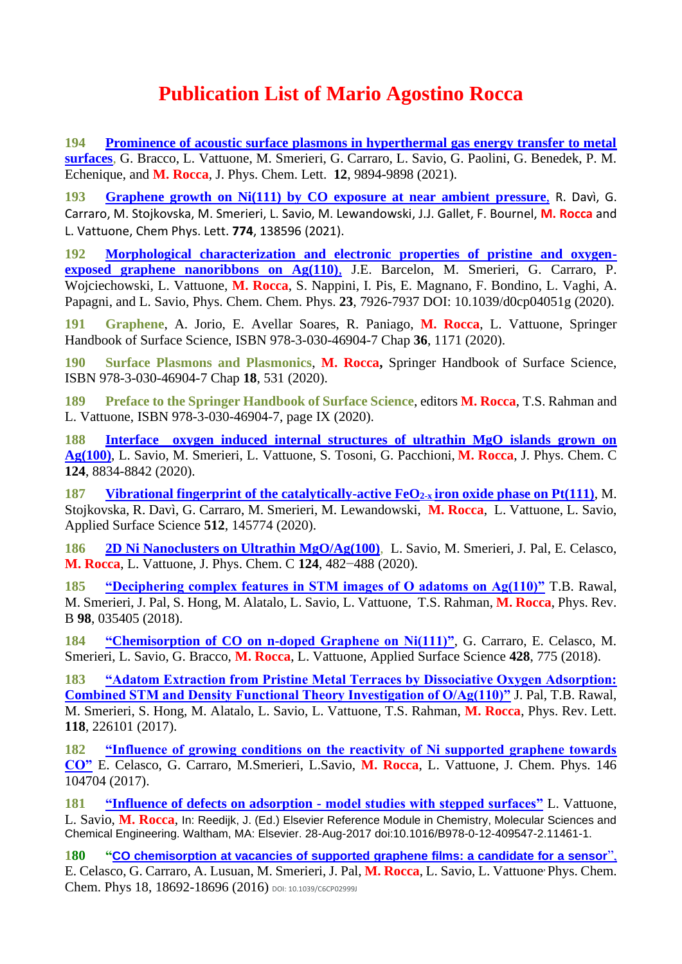## **Publication List of Mario Agostino Rocca**

**194 [Prominence of acoustic surface plasmons in hyperthermal gas energy transfer to metal](Files%20pdf%20articoli/acs.jpclett.1c02669%20Ne%20ASP.pdf)  [surfaces](Files%20pdf%20articoli/acs.jpclett.1c02669%20Ne%20ASP.pdf)**, G. Bracco, L. Vattuone, M. Smerieri, G. Carraro, L. Savio, G. Paolini, G. Benedek, P. M. Echenique, and **M. Rocca**, J. Phys. Chem. Lett. **12**, 9894-9898 (2021).

**193 [Graphene growth on Ni\(111\) by CO exposure at near ambient pressure](Files%20pdf%20articoli/2021%20CPL%20Rocco.pdf)**, R. Davì, G. Carraro, M. Stojkovska, M. Smerieri, L. Savio, M. Lewandowski, J.J. Gallet, F. Bournel, **M. Rocca** and L. Vattuone, Chem Phys. Lett. **774**, 138596 (2021).

**192 [Morphological characterization and electronic properties of pristine and oxygen](Files%20pdf%20articoli/2021%20PhysChemChemPhys%20Barcelon%20%20d0cp04051g.pdf)[exposed graphene nanoribbons on Ag\(110\)](Files%20pdf%20articoli/2021%20PhysChemChemPhys%20Barcelon%20%20d0cp04051g.pdf)**, J.E. Barcelon, M. Smerieri, G. Carraro, P. Wojciechowski, L. Vattuone, **M. Rocca**, S. Nappini, I. Pis, E. Magnano, F. Bondino, L. Vaghi, A. Papagni, and L. Savio, Phys. Chem. Chem. Phys. **23**, 7926-7937 DOI: 10.1039/d0cp04051g (2020).

**191 Graphene**, A. Jorio, E. Avellar Soares, R. Paniago, **M. Rocca**, L. Vattuone, Springer Handbook of Surface Science, ISBN 978-3-030-46904-7 Chap **36**, 1171 (2020).

**190 Surface Plasmons and Plasmonics**, **M. Rocca,** Springer Handbook of Surface Science, ISBN 978-3-030-46904-7 Chap **18**, 531 (2020).

**189 Preface to the Springer Handbook of Surface Science**, editors **M. Rocca**, T.S. Rahman and L. Vattuone, ISBN 978-3-030-46904-7, page IX (2020).

**188 [Interface oxygen induced internal structures of ultrathin MgO islands grown on](file:///D:/Dati/pagina_web/Files%20pdf%20articoli/JPCC%20124%202020%20MgO.pdf)  [Ag\(100\)](file:///D:/Dati/pagina_web/Files%20pdf%20articoli/JPCC%20124%202020%20MgO.pdf)**, L. Savio, M. Smerieri, L. Vattuone, S. Tosoni, G. Pacchioni, **M. Rocca**, J. Phys. Chem. C **124**, 8834-8842 (2020).

**187 [Vibrational fingerprint of the catalytically-active FeO](file:///D:/Dati/pagina_web/Files%20pdf%20articoli/APSUSC%20512%202020%20FeO.pdf)2-x iron oxide phase on Pt(111)**, M. Stojkovska, R. Davì, G. Carraro, M. Smerieri, M. Lewandowski, **M. Rocca**, L. Vattuone, L. Savio, Applied Surface Science **512**, 145774 (2020).

**186 [2D Ni Nanoclusters on Ultrathin MgO/Ag\(100\)](file:///D:/Dati/pagina_web/Files%20pdf%20articoli/JPCC%20124%202020%20Ni_clusters.pdf)**,L. Savio, M. Smerieri, J. Pal, E. Celasco, **M. Rocca**, L. Vattuone, J. Phys. Chem. C **124**, 482−488 (2020).

**185 ["Deciphering complex features in STM images of O adatoms on Ag\(110\)"](file:///D:/Dati/pagina_web/Files%20pdf%20articoli/PhysRevB.98.035405%20Decyphering.pdf)** T.B. Rawal, M. Smerieri, J. Pal, S. Hong, M. Alatalo, L. Savio, L. Vattuone, T.S. Rahman, **M. Rocca**, Phys. Rev. B **98**, 035405 (2018).

**184 ["Chemisorption of CO on n-doped Graphene on Ni\(111\)"](file:///D:/Dati/pagina_web/Files%20pdf%20articoli/APSUSC%20428%202018.pdf)**, G. Carraro, E. Celasco, M. Smerieri, L. Savio, G. Bracco, **M. Rocca**, L. Vattuone, Applied Surface Science **428**, 775 (2018).

**183 ["Adatom Extraction from Pristine Metal Terraces by Dissociative Oxygen Adsorption:](file:///D:/Dati/pagina_web/Files%20pdf%20articoli/PhysRevLett.118.226101.pdf)  [Combined STM and Density Functional Theory Investigation of O/Ag\(110\)"](file:///D:/Dati/pagina_web/Files%20pdf%20articoli/PhysRevLett.118.226101.pdf)** J. Pal, T.B. Rawal, M. Smerieri, S. Hong, M. Alatalo, L. Savio, L. Vattuone, T.S. Rahman, **M. Rocca**, Phys. Rev. Lett. **118**, 226101 (2017).

**182 ["Influence of growing conditions on the reactivity of Ni supported graphene towards](file:///D:/Dati/pagina_web/Files%20pdf%20articoli/JCP%20146%20-2017%20growing%20conditions%20graphene.pdf)  [CO"](file:///D:/Dati/pagina_web/Files%20pdf%20articoli/JCP%20146%20-2017%20growing%20conditions%20graphene.pdf)** E. Celasco, G. Carraro, M.Smerieri, L.Savio, **M. Rocca**, L. Vattuone, J. Chem. Phys. 146 104704 (2017).

**181 "Influence of defects on adsorption - [model studies with stepped surfaces"](file:///D:/Dati/pagina_web/Files%20pdf%20articoli/reference%20Module%20in%20chemistry.pdf)** L. Vattuone, L. Savio, **M. Rocca**, In: Reedijk, J. (Ed.) Elsevier Reference Module in Chemistry, Molecular Sciences and Chemical Engineering. Waltham, MA: Elsevier. 28-Aug-2017 doi:10.1016/B978-0-12-409547-2.11461-1.

**180 "[CO chemisorption at vacancies of supported graphene films: a candidate for a sensor](file:///D:/Dati/pagina_web/Files%20pdf%20articoli/PCCP%202016%20grafene%20bucato%20c6cp02999j.pdf)**[",](file:///D:/Dati/pagina_web/Files%20pdf%20articoli/PCCP%202016%20grafene%20bucato%20c6cp02999j.pdf) E. Celasco, G. Carraro, A. Lusuan, M. Smerieri, J. Pal, **M. Rocca**, L. Savio, L. Vattuone, Phys. Chem. Chem. Phys 18, 18692-18696 (2016) DOI: 10.1039/C6CP02999J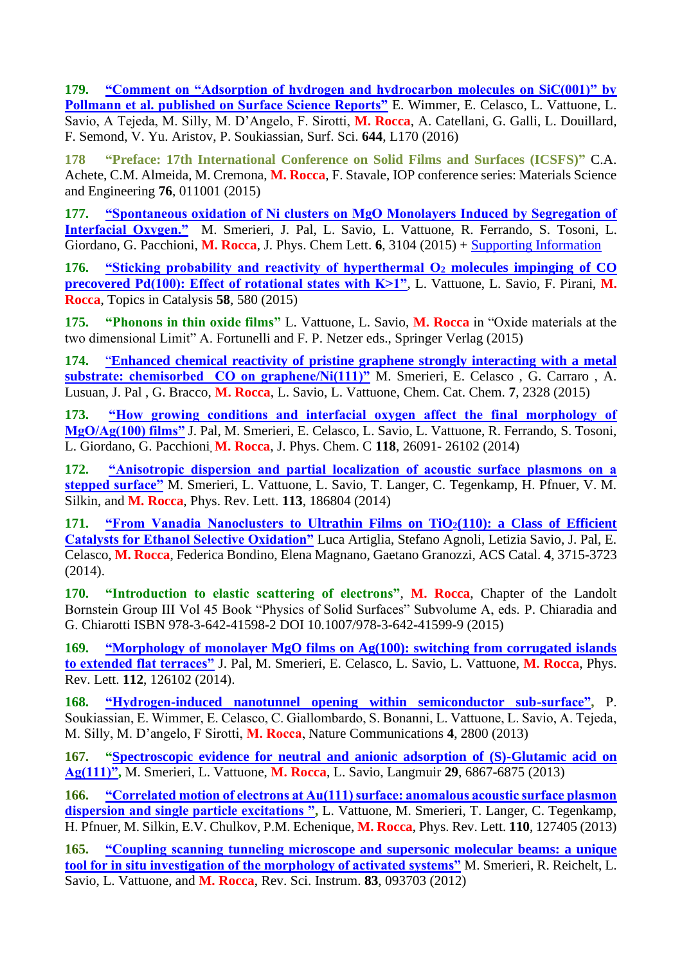**179. ["Comment on "Adsorption of hydrogen and hydrocarbon molecules on SiC\(001\)" by](file:///D:/Dati/pagina_web/Files%20pdf%20articoli/SSL-Comment-1-s2.0-S0039602815002538-main.pdf)  [Pollmann et al. published on Surface Science Reports"](file:///D:/Dati/pagina_web/Files%20pdf%20articoli/SSL-Comment-1-s2.0-S0039602815002538-main.pdf)** E. Wimmer, E. Celasco, L. Vattuone, L. Savio, A Tejeda, M. Silly, M. D'Angelo, F. Sirotti, **M. Rocca**, A. Catellani, G. Galli, L. Douillard, F. Semond, V. Yu. Aristov, P. Soukiassian, Surf. Sci. **644**, L170 (2016)

**178 ["Preface: 17th International Conference on Solid Films and Surfaces \(ICSFS\)"](https://www.scopus.com/record/display.uri?eid=2-s2.0-84984922372&origin=resultslist&sort=plf-f&src=s&st1=Rocca&st2=Mario&nlo=1&nlr=100&nls=&affilName=University+of+Genova&sid=E85A01300A6D5CA0A315DFBE91CE81DD.wsnAw8kcdt7IPYLO0V48gA%3a132&sot=anl&sdt=aut&sl=32&s=AU-ID%28%22Rocca%2c+Mario%22+7102874315%29&relpos=5&citeCnt=0&searchTerm=)** C.A. Achete, C.M. Almeida, M. Cremona, **M. Rocca**, F. Stavale, IOP conference series: Materials Science and Engineering **76**, 011001 (2015)

**177. ["Spontaneous oxidation of Ni clusters on MgO Monolayers Induced by Segregation of](file:///D:/Dati/pagina_web/Files%20pdf%20articoli/Smerieri_JPCL_NiyOx.pdf)  [Interfacial Oxygen."](file:///D:/Dati/pagina_web/Files%20pdf%20articoli/Smerieri_JPCL_NiyOx.pdf)** M. Smerieri, J. Pal, L. Savio, L. Vattuone, R. Ferrando, S. Tosoni, L. Giordano, G. Pacchioni, **M. Rocca**, J. Phys. Chem Lett. **6**, 3104 (2015) + [Supporting Information](file:///D:/Dati/pagina_web/Files%20pdf%20articoli/Smerieri_JPCL_NiyOx_supp.pdf)

**176. ["Sticking probability and reactivity of hyperthermal O](file:///D:/Dati/pagina_web/Files%20pdf%20articoli/Topics%20in%20Catal%202015.pdf)<sup>2</sup> molecules impinging of CO precovered [Pd\(100\): Effect of rotational states with K>1"](file:///D:/Dati/pagina_web/Files%20pdf%20articoli/Topics%20in%20Catal%202015.pdf)**, L. Vattuone, L. Savio, F. Pirani, **M. Rocca**, Topics in Catalysis **58**, 580 (2015)

**175. "Phonons in thin oxide films"** L. Vattuone, L. Savio, **M. Rocca** in "Oxide materials at the two dimensional Limit" A. Fortunelli and F. P. Netzer eds., Springer Verlag (2015)

**174.** "**[Enhanced chemical reactivity of pristine graphene strongly interacting with a metal](file:///D:/Dati/pagina_web/Files%20pdf%20articoli/chem%20cat%20chem%202015%20Smerieri.pdf)  [substrate: chemisorbed CO on graphene/Ni\(111\)"](file:///D:/Dati/pagina_web/Files%20pdf%20articoli/chem%20cat%20chem%202015%20Smerieri.pdf)** M. Smerieri, E. Celasco , G. Carraro , A. Lusuan, J. Pal , G. Bracco, **M. Rocca**, L. Savio, L. Vattuone, Chem. Cat. Chem. **7**, 2328 (2015)

**173. ["How growing conditions and interfacial oxygen affect the final morphology of](file:///D:/Dati/pagina_web/Files%20pdf%20articoli/JPCC118_MgOfilm.pdf)  [MgO/Ag\(100\) films"](file:///D:/Dati/pagina_web/Files%20pdf%20articoli/JPCC118_MgOfilm.pdf)** J. Pal, M. Smerieri, E. Celasco, L. Savio, L. Vattuone, R. Ferrando, S. Tosoni, L. Giordano, G. Pacchioni, **M. Rocca**, J. Phys. Chem. C **118**, 26091- 26102 (2014)

**172. ["Anisotropic dispersion and partial localization of acoustic surface plasmons on a](file:///D:/Dati/pagina_web/Files%20pdf%20articoli/PhysRevLett.113.186804%20Au788.pdf)  [stepped surface"](file:///D:/Dati/pagina_web/Files%20pdf%20articoli/PhysRevLett.113.186804%20Au788.pdf)** M. Smerieri, L. Vattuone, L. Savio, T. Langer, C. Tegenkamp, H. Pfnuer, V. M. Silkin, and **M. Rocca**, Phys. Rev. Lett. **113**, 186804 (2014)

**171. ["From Vanadia Nanoclusters to Ultrathin Films on TiO](file:///D:/Dati/pagina_web/Files%20pdf%20articoli/ACS_Cat_4.pdf)2(110): a Class of Efficient [Catalysts for Ethanol Selective Oxidation"](file:///D:/Dati/pagina_web/Files%20pdf%20articoli/ACS_Cat_4.pdf)** Luca Artiglia, Stefano Agnoli, Letizia Savio, J. Pal, E. Celasco, **M. Rocca**, Federica Bondino, Elena Magnano, Gaetano Granozzi, ACS Catal. **4**, 3715-3723 (2014).

**170. "Introduction to elastic scattering of electrons"**, **M. Rocca**, Chapter of the Landolt Bornstein Group III Vol 45 Book "Physics of Solid Surfaces" Subvolume A, eds. P. Chiaradia and G. Chiarotti ISBN 978-3-642-41598-2 DOI 10.1007/978-3-642-41599-9 (2015)

**169. ["Morphology of monolayer MgO films on Ag\(100\): switching from corrugated islands](file:///D:/Dati/pagina_web/Files%20pdf%20articoli/PhysRevLett.112.126102%202014%20MgO.pdf)  [to extended flat terraces"](file:///D:/Dati/pagina_web/Files%20pdf%20articoli/PhysRevLett.112.126102%202014%20MgO.pdf)** J. Pal, M. Smerieri, E. Celasco, L. Savio, L. Vattuone, **M. Rocca**, Phys. Rev. Lett. **112**, 126102 (2014).

**168. ["Hydrogen-induced nanotunnel opening within semiconductor sub-surface",](file:///D:/Dati/pagina_web/Files%20pdf%20articoli/NatComm-ncomms3800-2013.pdf)** P. Soukiassian, E. Wimmer, E. Celasco, C. Giallombardo, S. Bonanni, L. Vattuone, L. Savio, A. Tejeda, M. Silly, M. D'angelo, F Sirotti, **M. Rocca**, Nature Communications **4**, 2800 (2013)

**167. ["Spectroscopic evidence for neutral and anionic adsorption of \(S\)-Glutamic acid on](file:///D:/Dati/pagina_web/Files%20pdf%20articoli/la400436r%202013.pdf)  [Ag\(111\)",](file:///D:/Dati/pagina_web/Files%20pdf%20articoli/la400436r%202013.pdf)** M. Smerieri, L. Vattuone, **M. Rocca**, L. Savio, Langmuir **29**, 6867-6875 (2013)

**166. ["Correlated motion of electrons at Au\(111\) surface: anomalous acoustic surface plasmon](file:///D:/Dati/pagina_web/Files%20pdf%20articoli/PhysRevLett.110.127405.pdf)  [dispersion and single particle excitations ",](file:///D:/Dati/pagina_web/Files%20pdf%20articoli/PhysRevLett.110.127405.pdf)** L. Vattuone, M. Smerieri, T. Langer, C. Tegenkamp, H. Pfnuer, M. Silkin, E.V. Chulkov, P.M. Echenique, **M. Rocca**, Phys. Rev. Lett. **110**, 127405 (2013)

**165. ["Coupling scanning tunneling microscope and supersonic molecular beams: a unique](file:///D:/Dati/pagina_web/Files%20pdf%20articoli/RevSciInstrum_83_093703.pdf)  [tool for in situ investigation of the morphology of activated systems"](file:///D:/Dati/pagina_web/Files%20pdf%20articoli/RevSciInstrum_83_093703.pdf)** M. Smerieri, R. Reichelt, L. Savio, L. Vattuone, and **M. Rocca**, Rev. Sci. Instrum. **83**, 093703 (2012)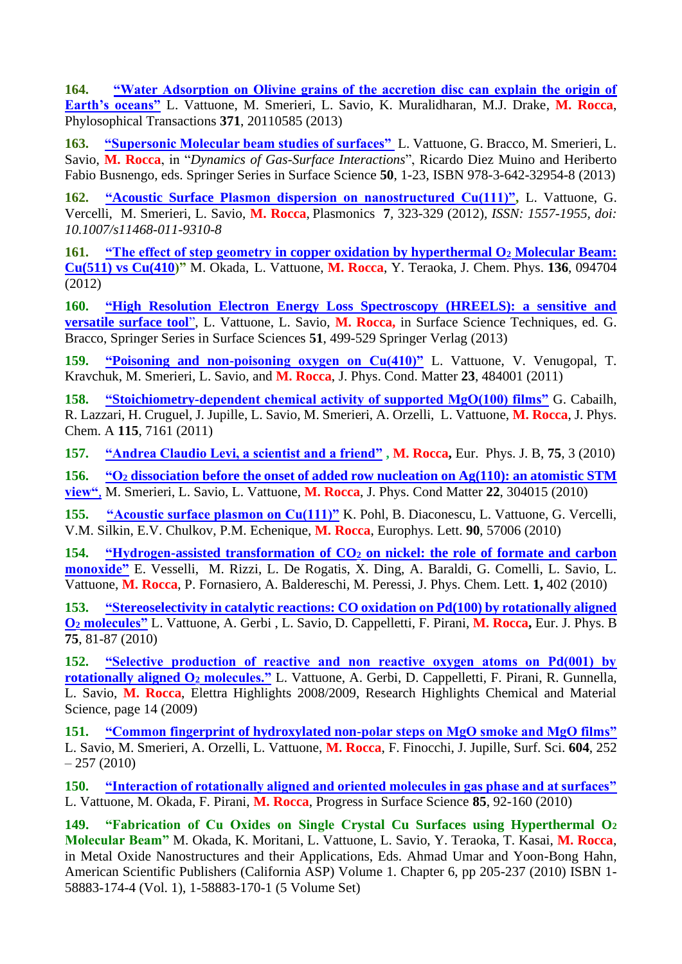**164. ["Water Adsorption on Olivine grains of the accretion disc can explain the origin of](file:///D:/Dati/pagina_web/Files%20pdf%20articoli/Phil.%20Trans.%20R.%20Soc.%20A-2013%20Olivina.pdf)  [Earth's oceans"](file:///D:/Dati/pagina_web/Files%20pdf%20articoli/Phil.%20Trans.%20R.%20Soc.%20A-2013%20Olivina.pdf)** L. Vattuone, M. Smerieri, L. Savio, K. Muralidharan, M.J. Drake, **M. Rocca**, Phylosophical Transactions **371**, 20110585 (2013)

**163. ["Supersonic Molecular beam studies of surfaces"](file:///D:/Dati/pagina_web/Files%20pdf%20articoli/Libro%20Muino%20Vattuone_Muino_5.pdf)** L. Vattuone, G. Bracco, M. Smerieri, L. Savio, **M. Rocca**, in "*Dynamics of Gas-Surface Interactions*", Ricardo Diez Muino and Heriberto Fabio Busnengo, eds. Springer Series in Surface Science **50**, 1-23, ISBN 978-3-642-32954-8 (2013)

**162. ["Acoustic Surface Plasmon dispersion on nanostructured Cu\(111\)",](file:///D:/Dati/pagina_web/Files%20pdf%20articoli/Plasmonics%20Cu%20ASP%202011.pdf)** L. Vattuone, G. Vercelli, M. Smerieri, L. Savio, **M. Rocca**, Plasmonics **7***,* 323-329 (2012)*, ISSN: 1557-1955, doi: 10.1007/s11468-011-9310-8* 

**161. ["The effect of step geometry in copper oxidation by hyperthermal O](file:///D:/Dati/pagina_web/Files%20pdf%20articoli/JCP%2036%20Okada%202012.pdf)<sup>2</sup> Molecular Beam: [Cu\(511\) vs Cu\(410\)](file:///D:/Dati/pagina_web/Files%20pdf%20articoli/JCP%2036%20Okada%202012.pdf)"** M. Okada, L. Vattuone, **M. Rocca**, Y. Teraoka, J. Chem. Phys. **136**, 094704 (2012)

**160. ["High Resolution Electron Energy Loss Spectroscopy \(HREELS\): a sensitive and](file:///D:/Dati/pagina_web/Files%20pdf%20articoli/libro%20Bracco%20Vattuone_Savio_Rocca_rev3.pdf)  [versatile surface tool](file:///D:/Dati/pagina_web/Files%20pdf%20articoli/libro%20Bracco%20Vattuone_Savio_Rocca_rev3.pdf)**", L. Vattuone, L. Savio, **M. Rocca,** in Surface Science Techniques, ed. G. Bracco, Springer Series in Surface Sciences **51**, 499-529 Springer Verlag (2013)

**159. ["Poisoning and non-poisoning oxygen on Cu\(410\)"](file:///D:/Dati/pagina_web/Files%20pdf%20articoli/JPCM_2011%20poisoning.pdf)** L. Vattuone, V. Venugopal, T. Kravchuk, M. Smerieri, L. Savio, and **M. Rocca**, J. Phys. Cond. Matter **23**, 484001 (2011)

**158. ["Stoichiometry-dependent chemical activity of supported MgO\(100\) films"](file:///D:/Dati/pagina_web/Files%20pdf%20articoli/JPC%20A%202011.pdf)** G. Cabailh, R. Lazzari, H. Cruguel, J. Jupille, L. Savio, M. Smerieri, A. Orzelli, L. Vattuone, **M. Rocca**, J. Phys. Chem. A **115**, 7161 (2011)

**157. ["Andrea Claudio Levi, a scientist and a friend"](file:///D:/Dati/pagina_web/Files%20pdf%20articoli/EPJ%20B%20Levi%20scientist%20and%20friend.pdf) , M. Rocca,** Eur. Phys. J. B, **75**, 3 (2010)

**156. "O<sup>2</sup> [dissociation before the onset of added row nucleation on Ag\(110\): an atomistic STM](file:///D:/Dati/pagina_web/Files%20pdf%20articoli/jpcm_manson%202010.pdf)  [view"](file:///D:/Dati/pagina_web/Files%20pdf%20articoli/jpcm_manson%202010.pdf)**, M. Smerieri, L. Savio, L. Vattuone, **M. Rocca**, J. Phys. Cond Matter **22**, 304015 (2010)

**155. ["Acoustic surface plasmon on Cu\(111\)"](file:///D:/Dati/pagina_web/Files%20pdf%20articoli/epl%202010%20Pohl.pdf)** K. Pohl, B. Diaconescu, L. Vattuone, G. Vercelli, V.M. Silkin, E.V. Chulkov, P.M. Echenique, **M. Rocca**, Europhys. Lett. **90**, 57006 (2010)

**154. "Hydrogen-assisted transformation of CO<sup>2</sup> [on nickel: the role of formate and carbon](file:///D:/Dati/pagina_web/Files%20pdf%20articoli/JPCL%20Vesselli%202010.pdf)  [monoxide"](file:///D:/Dati/pagina_web/Files%20pdf%20articoli/JPCL%20Vesselli%202010.pdf)** E. Vesselli, M. Rizzi, L. De Rogatis, X. Ding, A. Baraldi, G. Comelli, L. Savio, L. Vattuone, **M. Rocca**, P. Fornasiero, A. Baldereschi, M. Peressi, J. Phys. Chem. Lett. **1,** 402 (2010)

**153. ["Stereoselectivity in catalytic reactions: CO oxidation on Pd\(100\) by rotationally aligned](file:///D:/Dati/pagina_web/Files%20pdf%20articoli/EPJB%202010.pdf)  O<sup>2</sup> [molecules"](file:///D:/Dati/pagina_web/Files%20pdf%20articoli/EPJB%202010.pdf)** L. Vattuone, A. Gerbi , L. Savio, D. Cappelletti, F. Pirani, **M. Rocca,** Eur. J. Phys. B **75**, 81-87 (2010)

**152. ["Selective production of reactive and non reactive oxygen atoms on Pd\(001\) by](file:///D:/Dati/pagina_web/Files%20pdf%20articoli/Elettra_highlights_2008-2009.pdf)  [rotationally aligned O](file:///D:/Dati/pagina_web/Files%20pdf%20articoli/Elettra_highlights_2008-2009.pdf)<sup>2</sup> molecules."** L. Vattuone, A. Gerbi, D. Cappelletti, F. Pirani, R. Gunnella, L. Savio, **M. Rocca**, Elettra Highlights 2008/2009, Research Highlights Chemical and Material Science, page 14 (2009)

**151. ["Common fingerprint of hydroxylated non-polar steps on MgO smoke and MgO films"](file:///D:/Dati/pagina_web/Files%20pdf%20articoli/SS%202010%20Orzelli%20MgO.pdf)** L. Savio, M. Smerieri, A. Orzelli, L. Vattuone, **M. Rocca**, F. Finocchi, J. Jupille, Surf. Sci. **604**, 252  $-257(2010)$ 

**150. ["Interaction of rotationally aligned and oriented molecules in gas phase and at surfaces"](file:///D:/Dati/pagina_web/Files%20pdf%20articoli/Prog%20Surf%20Sci%202010.pdf)** L. Vattuone, M. Okada, F. Pirani, **M. Rocca**, Progress in Surface Science **85**, 92-160 (2010)

**149. "Fabrication of Cu Oxides on Single Crystal Cu Surfaces using Hyperthermal O<sup>2</sup> Molecular Beam"** M. Okada, K. Moritani, L. Vattuone, L. Savio, Y. Teraoka, T. Kasai, **M. Rocca**, in Metal Oxide Nanostructures and their Applications, Eds. Ahmad Umar and Yoon-Bong Hahn, American Scientific Publishers (California ASP) Volume 1. Chapter 6, pp 205-237 (2010) ISBN 1- 58883-174-4 (Vol. 1), 1-58883-170-1 (5 Volume Set)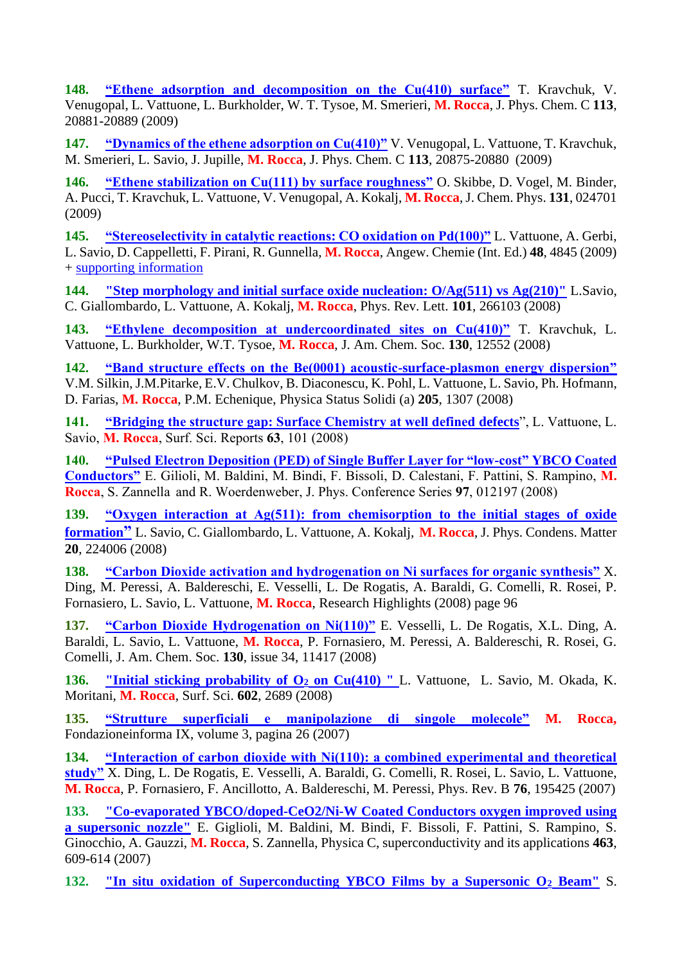**148. ["Ethene adsorption and decomposition on the Cu\(410\) surface"](file:///D:/Dati/pagina_web/Files%20pdf%20articoli/JPC%20113%20Kravchuk.pdf)** T. Kravchuk, V. Venugopal, L. Vattuone, L. Burkholder, W. T. Tysoe, M. Smerieri, **M. Rocca**, J. Phys. Chem. C **113**, 20881-20889 (2009)

**147. ["Dynamics of the ethene adsorption on Cu\(410\)"](file:///D:/Dati/pagina_web/Files%20pdf%20articoli/JPC%20113%20Venugopal.pdf)** V. Venugopal, L. Vattuone, T. Kravchuk, M. Smerieri, L. Savio, J. Jupille, **M. Rocca**, J. Phys. Chem. C **113**, 20875-20880 (2009)

**146. ["Ethene stabilization on Cu\(111\) by surface roughness"](file:///D:/Dati/pagina_web/Files%20pdf%20articoli/JChemPhys_131_024701%20Skibbe.pdf)** O. Skibbe, D. Vogel, M. Binder, A. Pucci, T. Kravchuk, L. Vattuone, V. Venugopal, A. Kokalj, **M. Rocca**, J. Chem. Phys. **131**, 024701 (2009)

**145. ["Stereoselectivity in catalytic reactions: CO oxidation on Pd\(100\)"](file:///D:/Dati/pagina_web/Files%20pdf%20articoli/AC%202009.pdf)** L. Vattuone, A. Gerbi, L. Savio, D. Cappelletti, F. Pirani, R. Gunnella, **M. Rocca**, Angew. Chemie (Int. Ed.) **48**, 4845 (2009) + [supporting information](file:///D:/Dati/pagina_web/Files%20pdf%20articoli/AC%202009%20supporting.pdf)

**144. ["Step morphology and initial surface oxide nucleation: O/Ag\(511\) vs Ag\(210\)"](file:///D:/Dati/pagina_web/Files%20pdf%20articoli/PRL%202008.pdf)** L.Savio, C. Giallombardo, L. Vattuone, A. Kokalj, **M. Rocca**, Phys. Rev. Lett. **101**, 266103 (2008)

**143. ["Ethylene decomposition at undercoordinated sites on Cu\(410\)"](file:///D:/Dati/pagina_web/Files%20pdf%20articoli/JACS%20Cu%202008.pdf)** T. Kravchuk, L. Vattuone, L. Burkholder, W.T. Tysoe, **M. Rocca**, J. Am. Chem. Soc. **130**, 12552 (2008)

**142. ["Band structure effects on the Be\(0001\) acoustic-surface-plasmon energy dispersion"](file:///D:/Dati/pagina_web/Files%20pdf%20articoli/PSSA_205_1307%202008.pdf)** V.M. Silkin, J.M.Pitarke, E.V. Chulkov, B. Diaconescu, K. Pohl, L. Vattuone, L. Savio, Ph. Hofmann, D. Farias, **M. Rocca**, P.M. Echenique, Physica Status Solidi (a) **205**, 1307 (2008)

**141. ["Bridging the structure gap: Surface Chemistry at well defined](file:///D:/Dati/pagina_web/Files%20pdf%20articoli/SSR%202008.pdf) defects**", L. Vattuone, L. Savio, **M. Rocca**, Surf. Sci. Reports **63**, 101 (2008)

**140. ["Pulsed Electron Deposition \(PED\) of Single Buffer Layer for "low-cost" YBCO Coated](file:///D:/Dati/pagina_web/Files%20pdf%20articoli/JOP%202008%20Giglioli.pdf)  [Conductors"](file:///D:/Dati/pagina_web/Files%20pdf%20articoli/JOP%202008%20Giglioli.pdf)** E. Gilioli, M. Baldini, M. Bindi, F. Bissoli, D. Calestani, F. Pattini, S. Rampino, **M. Rocca**, S. Zannella and R. Woerdenweber, J. Phys. Conference Series **97**, 012197 (2008)

**139. ["Oxygen interaction at Ag\(511\): from chemisorption to the initial stages of oxide](file:///D:/Dati/pagina_web/Files%20pdf%20articoli/JPCM_2008.pdf)  [formation](file:///D:/Dati/pagina_web/Files%20pdf%20articoli/JPCM_2008.pdf)"** L. Savio, C. Giallombardo, L. Vattuone, A. Kokalj, **M. Rocca**, J. Phys. Condens. Matter **20**, 224006 (2008)

**138. ["Carbon Dioxide activation and hydrogenation on Ni surfaces for organic synthesis"](file:///D:/Dati/pagina_web/Files%20pdf%20articoli/www.elettra.trieste.it...ttra_highlights_2007-2008.pdf)** X. Ding, M. Peressi, A. Baldereschi, E. Vesselli, L. De Rogatis, A. Baraldi, G. Comelli, R. Rosei, P. Fornasiero, L. Savio, L. Vattuone, **M. Rocca**, Research Highlights (2008) page 96

**137. ["Carbon Dioxide Hydrogenation on Ni\(110\)"](file:///D:/Dati/pagina_web/Files%20pdf%20articoli/JACS%20130%202008.pdf)** E. Vesselli, L. De Rogatis, X.L. Ding, A. Baraldi, L. Savio, L. Vattuone, **M. Rocca**, P. Fornasiero, M. Peressi, A. Baldereschi, R. Rosei, G. Comelli, J. Am. Chem. Soc. **130**, issue 34, 11417 (2008)

**136. ["Initial sticking probability of O](file:///D:/Dati/pagina_web/Files%20pdf%20articoli/SS602_2008_Cu410stick.pdf)<sup>2</sup> on Cu(410) "** L. Vattuone, L. Savio, M. Okada, K. Moritani, **M. Rocca**, Surf. Sci. **602**, 2689 (2008)

**135. ["Strutture superficiali e manipolazione di singole molecole"](file:///D:/Dati/pagina_web/Files%20pdf%20articoli/fondazione%20informa0001.pdf) M. Rocca,** Fondazioneinforma IX, volume 3, pagina 26 (2007)

**134. ["Interaction of carbon dioxide with Ni\(110\): a combined experimental and theoretical](file:///D:/Dati/pagina_web/Files%20pdf%20articoli/PRB%2076%20Vesselli.pdf)  [study"](file:///D:/Dati/pagina_web/Files%20pdf%20articoli/PRB%2076%20Vesselli.pdf)** X. Ding, L. De Rogatis, E. Vesselli, A. Baraldi, G. Comelli, R. Rosei, L. Savio, L. Vattuone, **M. Rocca**, P. Fornasiero, F. Ancillotto, A. Baldereschi, M. Peressi, Phys. Rev. B **76**, 195425 (2007)

**133. "Co-evaporated [YBCO/doped-CeO2/Ni-W Coated Conductors oxygen improved using](file:///D:/Dati/pagina_web/Files%20pdf%20articoli/Physica%20C%202007%20YBCO.pdf)  [a supersonic nozzle"](file:///D:/Dati/pagina_web/Files%20pdf%20articoli/Physica%20C%202007%20YBCO.pdf)** E. Giglioli, M. Baldini, M. Bindi, F. Bissoli, F. Pattini, S. Rampino, S. Ginocchio, A. Gauzzi, **M. Rocca**, S. Zannella, Physica C, superconductivity and its applications **463**, 609-614 (2007)

**132. ["In situ oxidation of Superconducting YBCO Films by a Supersonic O](file:///D:/Dati/pagina_web/Files%20pdf%20articoli/IEEE%20trans%202007.pdf)<sup>2</sup> Beam"** S.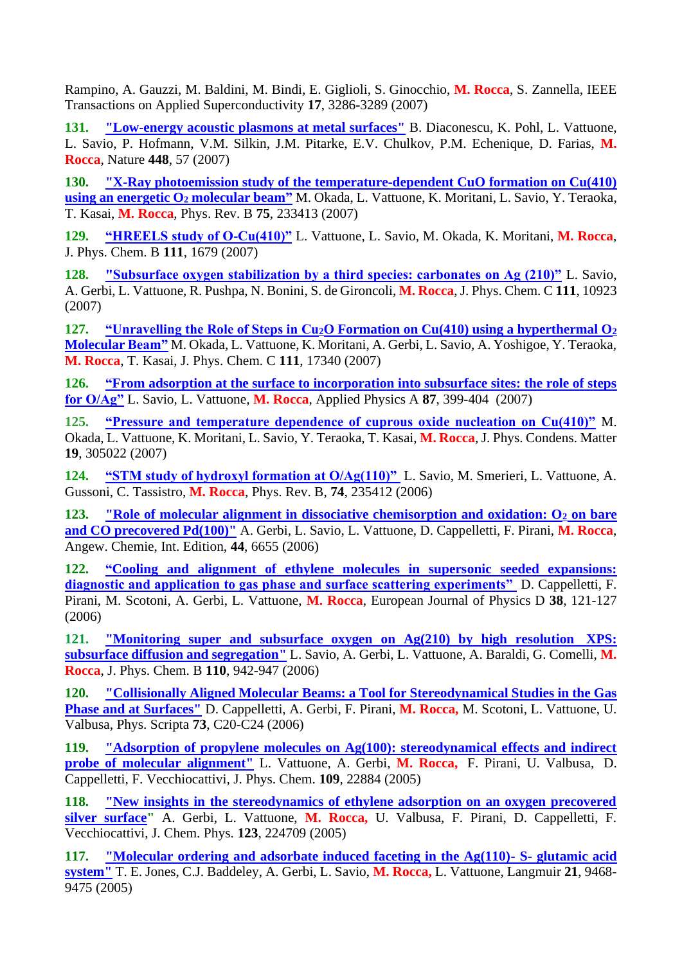Rampino, A. Gauzzi, M. Baldini, M. Bindi, E. Giglioli, S. Ginocchio, **M. Rocca**, S. Zannella, IEEE Transactions on Applied Superconductivity **17**, 3286-3289 (2007)

**131. ["Low-energy acoustic plasmons at metal surfaces"](file:///D:/Dati/pagina_web/Files%20pdf%20articoli/Nature_final.pdf)** B. Diaconescu, K. Pohl, L. Vattuone, L. Savio, P. Hofmann, V.M. Silkin, J.M. Pitarke, E.V. Chulkov, P.M. Echenique, D. Farias, **M. Rocca**, Nature **448**, 57 (2007)

**130. ["X-Ray photoemission study of the temperature-dependent CuO formation on Cu\(410\)](file:///D:/Dati/pagina_web/Files%20pdf%20articoli/PhysRevB_75_233413.pdf)  [using an energetic O](file:///D:/Dati/pagina_web/Files%20pdf%20articoli/PhysRevB_75_233413.pdf)<sup>2</sup> molecular beam"** M. Okada, L. Vattuone, K. Moritani, L. Savio, Y. Teraoka, T. Kasai, **M. Rocca**, Phys. Rev. B **75**, 233413 (2007)

**129. ["HREELS study of O-Cu\(410\)"](file:///D:/Dati/pagina_web/Files%20pdf%20articoli/jp111%202007.pdf)** L. Vattuone, L. Savio, M. Okada, K. Moritani, **M. Rocca**, J. Phys. Chem. B **111**, 1679 (2007)

**128. ["Subsurface oxygen stabilization by a third species: carbonates on Ag \(210\)"](file:///D:/Dati/pagina_web/Files%20pdf%20articoli/JPCC%20111%202007.pdf)** L. Savio, A. Gerbi, L. Vattuone, R. Pushpa, N. Bonini, S. de Gironcoli, **M. Rocca**, J. Phys. Chem. C **111**, 10923 (2007)

**127. "Unravelling the Role of Steps in Cu2[O Formation on Cu\(410\) using a hyperthermal O](file:///D:/Dati/pagina_web/Files%20pdf%20articoli/jpcc%20111%20Okada.pdf)<sup>2</sup> [Molecular](file:///D:/Dati/pagina_web/Files%20pdf%20articoli/jpcc%20111%20Okada.pdf) Beam"** M. Okada, L. Vattuone, K. Moritani, A. Gerbi, L. Savio, A. Yoshigoe, Y. Teraoka, **M. Rocca**, T. Kasai, J. Phys. Chem. C **111**, 17340 (2007)

**126. ["From adsorption at the surface to incorporation into subsurface sites: the role of steps](file:///D:/Dati/pagina_web/Files%20pdf%20articoli/Appl%20phys%20A%2087%202007.pdf)  [for O/Ag"](file:///D:/Dati/pagina_web/Files%20pdf%20articoli/Appl%20phys%20A%2087%202007.pdf)** L. Savio, L. Vattuone, **M. Rocca**, Applied Physics A **87**, 399-404 (2007)

**125. ["Pressure and temperature dependence of cuprous oxide nucleation on Cu\(410\)"](file:///D:/Dati/pagina_web/Files%20pdf%20articoli/cm7_30_305022.pdf)** M. Okada, L. Vattuone, K. Moritani, L. Savio, Y. Teraoka, T. Kasai, **M. Rocca**, J. Phys. Condens. Matter **19**, 305022 (2007)

**124. ["STM study of hydroxyl formation at O/Ag\(110\)"](file:///D:/Dati/pagina_web/Files%20pdf%20articoli/PhysRevB_74_235412.pdf)** L. Savio, M. Smerieri, L. Vattuone, A. Gussoni, C. Tassistro, **M. Rocca**, Phys. Rev. B, **74**, 235412 (2006)

**123. ["Role of molecular alignment in dissociative chemisorption and oxidation: O](file:///D:/Dati/pagina_web/Files%20pdf%20articoli/AC%202006.pdf)<sup>2</sup> on bare [and CO precovered Pd\(100\)"](file:///D:/Dati/pagina_web/Files%20pdf%20articoli/AC%202006.pdf)** A. Gerbi, L. Savio, L. Vattuone, D. Cappelletti, F. Pirani, **M. Rocca**, Angew. Chemie, Int. Edition, **44**, 6655 (2006)

**122. ["Cooling and alignment of ethylene molecules in supersonic seeded expansions:](file:///D:/Dati/pagina_web/Files%20pdf%20articoli/EPJD2006.pdf)  [diagnostic and application to gas phase and surface scattering experiments"](file:///D:/Dati/pagina_web/Files%20pdf%20articoli/EPJD2006.pdf)** D. Cappelletti, F. Pirani, M. Scotoni, A. Gerbi, L. Vattuone, **M. Rocca**, European Journal of Physics D **38**, 121-127 (2006)

**121. ["Monitoring super and subsurface oxygen on Ag\(210\) by high resolution](file:///D:/Dati/pagina_web/Files%20pdf%20articoli/JPCB%20110%202006.pdf) XPS: [subsurface diffusion and segregation"](file:///D:/Dati/pagina_web/Files%20pdf%20articoli/JPCB%20110%202006.pdf)** L. Savio, A. Gerbi, L. Vattuone, A. Baraldi, G. Comelli, **M. Rocca**, J. Phys. Chem. B **110**, 942-947 (2006)

**120. ["Collisionally Aligned Molecular Beams: a Tool for Stereodynamical Studies in the Gas](file:///D:/Dati/pagina_web/Files%20pdf%20articoli/physscr_73_1_n04.pdf)  [Phase and at Surfaces"](file:///D:/Dati/pagina_web/Files%20pdf%20articoli/physscr_73_1_n04.pdf)** D. Cappelletti, A. Gerbi, F. Pirani, **M. Rocca,** M. Scotoni, L. Vattuone, U. Valbusa, Phys. Scripta **73**, C20-C24 (2006)

**119. ["Adsorption of propylene molecules on Ag\(100\): stereodynamical effects and indirect](file:///D:/Dati/pagina_web/Files%20pdf%20articoli/jpcb_2005_109.pdf)  [probe of molecular alignment"](file:///D:/Dati/pagina_web/Files%20pdf%20articoli/jpcb_2005_109.pdf)** L. Vattuone, A. Gerbi, **M. Rocca,** F. Pirani, U. Valbusa, D. Cappelletti, F. Vecchiocattivi, J. Phys. Chem. **109**, 22884 (2005)

**118. ["New insights in the stereodynamics of ethylene adsorption on an oxygen precovered](file:///D:/Dati/pagina_web/Files%20pdf%20articoli/jcp2005_123_224709.PDF)  [silver surface"](file:///D:/Dati/pagina_web/Files%20pdf%20articoli/jcp2005_123_224709.PDF)** A. Gerbi, L. Vattuone, **M. Rocca,** U. Valbusa, F. Pirani, D. Cappelletti, F. Vecchiocattivi, J. Chem. Phys. **123**, 224709 (2005)

**117. ["Molecular ordering and adsorbate induced faceting in the Ag\(110\)-](file:///D:/Dati/pagina_web/Files%20pdf%20articoli/la21_9468_GA.pdf) S- glutamic acid [system"](file:///D:/Dati/pagina_web/Files%20pdf%20articoli/la21_9468_GA.pdf)** T. E. Jones, C.J. Baddeley, A. Gerbi, L. Savio, **M. Rocca,** L. Vattuone, Langmuir **21**, 9468- 9475 (2005)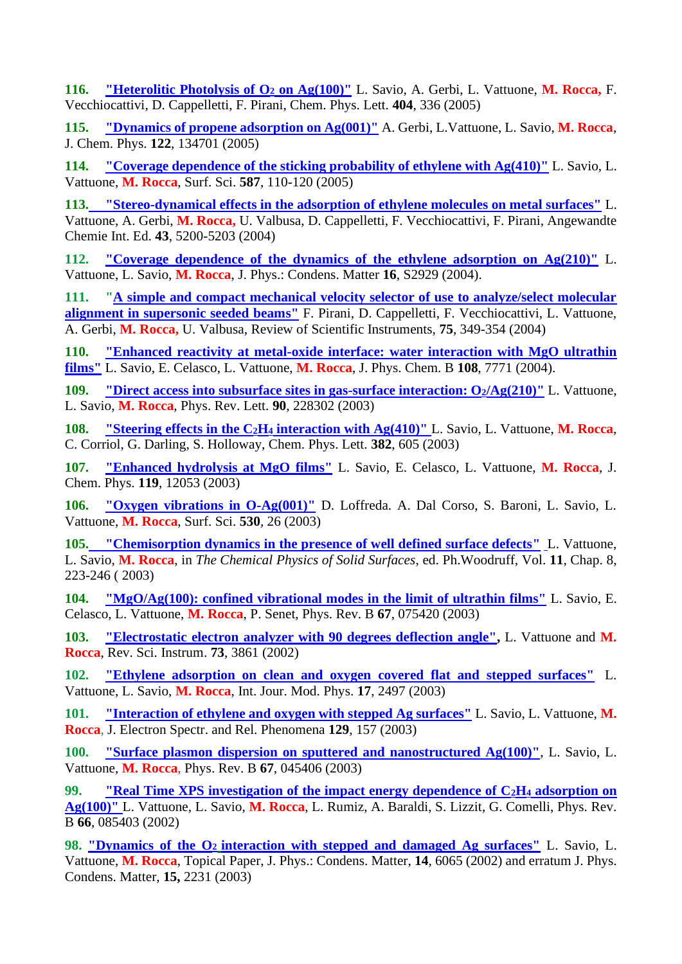**116. ["Heterolitic Photolysis of O](file:///D:/Dati/pagina_web/Files%20pdf%20articoli/CPL404_336(2005).pdf)<sup>2</sup> on Ag(100)"** L. Savio, A. Gerbi, L. Vattuone, **M. Rocca,** F. Vecchiocattivi, D. Cappelletti, F. Pirani, Chem. Phys. Lett. **404**, 336 (2005)

**115. ["Dynamics of propene adsorption on Ag\(001\)"](file:///D:/Dati/pagina_web/Files%20pdf%20articoli/JChemPhys_122_134701%5b1%5d.pdf)** A. Gerbi, L.Vattuone, L. Savio, **M. Rocca**, J. Chem. Phys. **122**, 134701 (2005)

**114. ["Coverage dependence of the sticking probability of ethylene with Ag\(410\)"](file:///D:/Dati/pagina_web/Files%20pdf%20articoli/SS587_VAS%20etilene%20Ag(410)%20(2005).pdf)** L. Savio, L. Vattuone, **M. Rocca**, Surf. Sci. **587**, 110-120 (2005)

**113. ["Stereo-dynamical effects in the adsorption of ethylene molecules on metal surfaces"](file:///D:/Dati/pagina_web/Files%20pdf%20articoli/Angewandte%202004.pdf)** L. Vattuone, A. Gerbi, **M. Rocca,** U. Valbusa, D. Cappelletti, F. Vecchiocattivi, F. Pirani, Angewandte Chemie Int. Ed. **43**, 5200-5203 (2004)

**112. ["Coverage dependence of the dynamics of the ethylene adsorption on Ag\(210\)"](file:///D:/Dati/pagina_web/Files%20pdf%20articoli/Ag210_JPC16_2004.pdf)** L. Vattuone, L. Savio, **M. Rocca**, J. Phys.: Condens. Matter **16**, S2929 (2004).

**111. ["A simple and compact mechanical velocity selector of use to analyze/select molecular](file:///D:/Dati/pagina_web/Files%20pdf%20articoli/rsi_2004.pdf)  [alignment in supersonic seeded beams"](file:///D:/Dati/pagina_web/Files%20pdf%20articoli/rsi_2004.pdf)** F. Pirani, D. Cappelletti, F. Vecchiocattivi, L. Vattuone, A. Gerbi, **M. Rocca,** U. Valbusa, Review of Scientific Instruments, **75**, 349-354 (2004)

**110. ["Enhanced reactivity at metal-oxide interface: water interaction with MgO ultrathin](file:///D:/Dati/pagina_web/Files%20pdf%20articoli/H2O_MgO_JPCB_108_2004.pdf)  [films"](file:///D:/Dati/pagina_web/Files%20pdf%20articoli/H2O_MgO_JPCB_108_2004.pdf)** L. Savio, E. Celasco, L. Vattuone, **M. Rocca**, J. Phys. Chem. B **108**, 7771 (2004).

**109. ["Direct access into subsurface sites in gas-surface interaction: O](file:///D:/Dati/pagina_web/Files%20pdf%20articoli/PRL03_Ag210.pdf)2[/Ag\(210\)"](file:///D:/Dati/pagina_web/Files%20pdf%20articoli/PRL03_Ag210.pdf)** L. Vattuone, L. Savio, **M. Rocca**, Phys. Rev. Lett. **90**, 228302 (2003)

**108. ["Steering effects in the C](file:///D:/Dati/pagina_web/Files%20pdf%20articoli/cpl382_Darling.pdf)2H<sup>4</sup> [interaction with Ag\(410\)"](file:///D:/Dati/pagina_web/Files%20pdf%20articoli/cpl382_Darling.pdf)** L. Savio, L. Vattuone, **M. Rocca**, C. Corriol, G. Darling, S. Holloway, Chem. Phys. Lett. **382**, 605 (2003)

**107. ["Enhanced hydrolysis at MgO films"](file:///D:/Dati/pagina_web/Files%20pdf%20articoli/JCP119_12053(2003)_MgO_H2O.pdf)** L. Savio, E. Celasco, L. Vattuone, **M. Rocca**, J. Chem. Phys. **119**, 12053 (2003)

**106. ["Oxygen vibrations in O-Ag\(001\)"](file:///D:/Dati/pagina_web/Files%20pdf%20articoli/SS530_26_DalCorso.pdf)** D. Loffreda. A. Dal Corso, S. Baroni, L. Savio, L. Vattuone, **M. Rocca**, Surf. Sci. **530**, 26 (2003)

**105. ["Chemisorption dynamics in the presence of well defined surface defects"](file:///D:/Dati/pagina_web/Files%20pdf%20articoli/CH08_Woodruff.pdf)** [L](file:///D:/Dati/pagina_web/Files%20pdf%20articoli/CH8_Woodruff.pdf). Vattuone, L. Savio, **M. Rocca**, in *The Chemical Physics of Solid Surfaces*, ed. Ph.Woodruff, Vol. **11**, Chap. 8, 223-246 ( 2003)

**104. ["MgO/Ag\(100\): confined vibrational modes in the limit of ultrathin films"](file:///D:/Dati/pagina_web/Files%20pdf%20articoli/PRB67_75420_2003_FK.pdf)** L. Savio, E. Celasco, L. Vattuone, **M. Rocca**, P. Senet, Phys. Rev. B **67**, 075420 (2003)

**103. ["Electrostatic electron analyzer with 90 degrees deflection angle",](file:///D:/Dati/pagina_web/Files%20pdf%20articoli/RSI73_3861_SPEELS.pdf)** L. Vattuone and **M. Rocca**, Rev. Sci. Instrum. **73**, 3861 (2002)

**102. ["Ethylene adsorption on clean and oxygen covered flat and stepped surfaces"](file:///D:/Dati/pagina_web/Files%20pdf%20articoli/IntJModPhys%2003.pdf)** L. Vattuone, L. Savio, **M. Rocca**, Int. Jour. Mod. Phys. **17**, 2497 (2003)

**101. ["Interaction of ethylene and oxygen with stepped Ag surfaces"](file:///D:/Dati/pagina_web/Files%20pdf%20articoli/JESRP129_157_Lucas.pdf)** L. Savio, L. Vattuone, **M. Rocca**, J. Electron Spectr. and Rel. Phenomena **129**, 157 (2003)

**100. ["Surface plasmon dispersion on sputtered and nanostructured Ag\(100\)"](file:///D:/Dati/pagina_web/Files%20pdf%20articoli/PRB67_45076_plasmonisputt.pdf)**, L. Savio, L. Vattuone, **M. Rocca**, Phys. Rev. B **67**, 045406 (2003)

**99. ["Real Time XPS investigation of the impact energy dependence of C](file:///D:/Dati/pagina_web/Files%20pdf%20articoli/PRB66_85403_XPSC2H4.pdf)2H<sup>4</sup> [adsorption on](file:///D:/Dati/pagina_web/Files%20pdf%20articoli/PRB66_85403_XPSC2H4.pdf)  [Ag\(100\)"](file:///D:/Dati/pagina_web/Files%20pdf%20articoli/PRB66_85403_XPSC2H4.pdf)** L. Vattuone, L. Savio, **M. Rocca**, L. Rumiz, A. Baraldi, S. Lizzit, G. Comelli, Phys. Rev. B **66**, 085403 (2002)

**98. ["Dynamics of the O](file:///D:/Dati/pagina_web/Files%20pdf%20articoli/JPC2002.pdf)<sup>2</sup> [interaction with stepped and damaged Ag surfaces"](file:///D:/Dati/pagina_web/Files%20pdf%20articoli/JPC2002.pdf)** L. Savio, L. Vattuone, **M. Rocca**, Topical Paper, J. Phys.: Condens. Matter, **14**, 6065 (2002) and erratum J. Phys. Condens. Matter, **15,** 2231 (2003)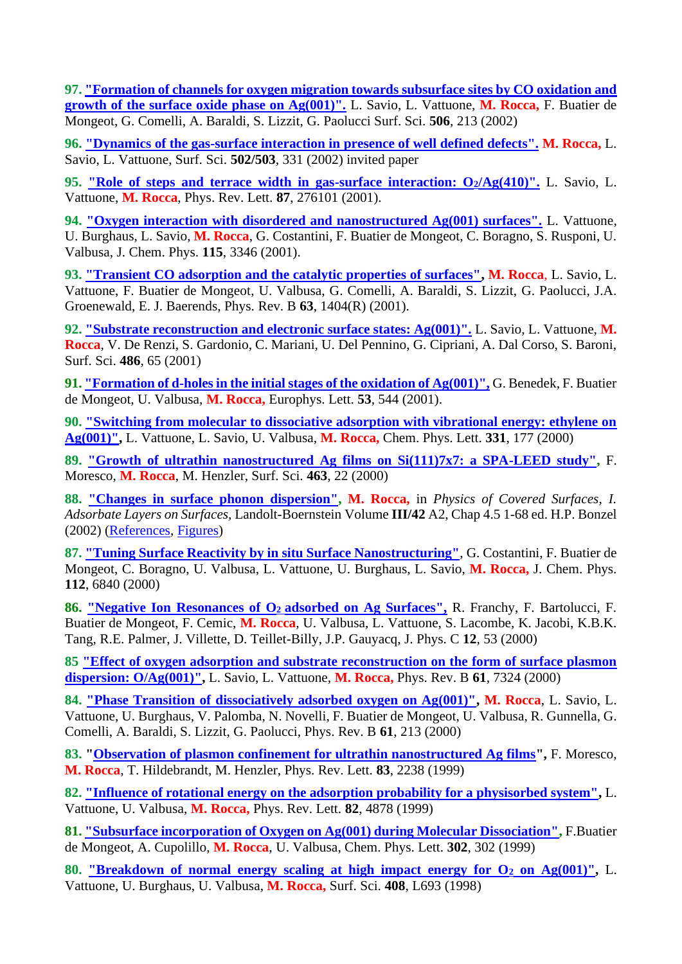**97. ["Formation of channels for oxygen migration towards subsurface sites by CO oxidation and](file:///D:/Dati/pagina_web/Files%20pdf%20articoli/SS506_bubbonebis.pdf)  [growth of the surface oxide phase on Ag\(001\)".](file:///D:/Dati/pagina_web/Files%20pdf%20articoli/SS506_bubbonebis.pdf)** L. Savio, L. Vattuone, **M. Rocca,** F. Buatier de Mongeot, G. Comelli, A. Baraldi, S. Lizzit, G. Paolucci Surf. Sci. **506**, 213 (2002)

**96. ["Dynamics of the gas-surface interaction](file:///D:/Dati/pagina_web/Files%20pdf%20articoli/ss502_2002.pdf) in presence of well defined defects". M. Rocca,** L. Savio, L. Vattuone, Surf. Sci. **502/503**, 331 (2002) invited paper

**95. ["Role of steps and terrace width in gas-surface interaction: O](file:///D:/Dati/pagina_web/Files%20pdf%20articoli/PRL87_Ag410.pdf)2/Ag(410)".** L. Savio, L. Vattuone, **M. Rocca**, Phys. Rev. Lett. **87**, 276101 (2001).

**94. ["Oxygen interaction with disordered and nanostructured Ag\(001\) surfaces".](file:///D:/Dati/pagina_web/Files%20pdf%20articoli/JCP115_2001.pdf)** L. Vattuone, U. Burghaus, L. Savio, **M. Rocca**, G. Costantini, F. Buatier de Mongeot, C. Boragno, S. Rusponi, U. Valbusa, J. Chem. Phys. **115**, 3346 (2001).

**93. ["Transient CO adsorption and the catalytic properties of surfaces",](file:///D:/Dati/pagina_web/Files%20pdf%20articoli/prb63.pdf) M. Rocca**, L. Savio, L. Vattuone, F. Buatier de Mongeot, U. Valbusa, G. Comelli, A. Baraldi, S. Lizzit, G. Paolucci, J.A. Groenewald, E. J. Baerends, Phys. Rev. B **63**, 1404(R) (2001).

**92. "Substrate reconstruction [and electronic surface states: Ag\(001\)".](file:///D:/Dati/pagina_web/Files%20pdf%20articoli/SS486_65(2001)_stati_el.pdf)** L. Savio, L. Vattuone, **M. Rocca**, V. De Renzi, S. Gardonio, C. Mariani, U. Del Pennino, G. Cipriani, A. Dal Corso, S. Baroni, Surf. Sci. **486**, 65 (2001)

**91. ["Formation of d-holes in the initial stages of the oxidation of Ag\(001\)",](file:///D:/Dati/pagina_web/Files%20pdf%20articoli/JPC2001Benedek.pdf)** G. Benedek, F. Buatier de Mongeot, U. Valbusa, **M. Rocca,** Europhys. Lett. **53**, 544 (2001).

**90. ["Switching from molecular to dissociative adsorption with vibrational energy: ethylene on](file:///D:/Dati/pagina_web/Files%20pdf%20articoli/cpl331.pdf)  [Ag\(001\)",](file:///D:/Dati/pagina_web/Files%20pdf%20articoli/cpl331.pdf)** L. Vattuone, L. Savio, U. Valbusa, **M. Rocca,** Chem. Phys. Lett. **331**, 177 (2000)

**89. ["Growth of ultrathin nanostructured Ag films on Si\(111\)7x7: a SPA-LEED study",](file:///D:/Dati/pagina_web/Files%20pdf%20articoli/SS463_SpaLEED.pdf)** F. Moresco, **M. Rocca**, M. Henzler, Surf. Sci. **463**, 22 (2000)

**88. ["Changes in surface phonon dispersion",](file:///D:/Dati/pagina_web/Files%20pdf%20articoli/Landolt%202002%20testo.pdf) M. Rocca,** in *Physics of Covered Surfaces, I. Adsorbate Layers on Surfaces,* Landolt-Boernstein Volume **III/42** A2, Chap 4.5 1-68 ed. H.P. Bonzel (2002) [\(References,](file:///D:/Dati/pagina_web/Files%20pdf%20articoli/Landolt2002referenze.pdf) [Figures\)](file:///D:/Dati/pagina_web/Files%20pdf%20articoli/Landolt2002figure.pdf)

**87. ["Tuning Surface Reactivity by in situ Surface Nanostructuring"](file:///D:/Dati/pagina_web/Files%20pdf%20articoli/jcp112.pdf)**, G. Costantini, F. Buatier de Mongeot, C. Boragno, U. Valbusa, L. Vattuone, U. Burghaus, L. Savio, **M. Rocca,** J. Chem. Phys. **112**, 6840 (2000)

**86. ["Negative Ion Resonances of O](file:///D:/Dati/pagina_web/Files%20pdf%20articoli/JPC2000Francy.pdf)2 adsorbed on Ag Surfaces",** R. Franchy, F. Bartolucci, F. Buatier de Mongeot, F. Cemic, **M. Rocca**, U. Valbusa, L. Vattuone, S. Lacombe, K. Jacobi, K.B.K. Tang, R.E. Palmer, J. Villette, D. Teillet-Billy, J.P. Gauyacq, J. Phys. C **12**, 53 (2000)

**85 ["Effect of oxygen adsorption and substrate reconstruction on the form of surface plasmon](file:///D:/Dati/pagina_web/Files%20pdf%20articoli/prb61_7324.pdf)  [dispersion: O/Ag\(001\)",](file:///D:/Dati/pagina_web/Files%20pdf%20articoli/prb61_7324.pdf)** L. Savio, L. Vattuone, **M. Rocca,** Phys. Rev. B **61**, 7324 (2000)

**84. ["Phase Transition of dissociatively adsorbed oxygen on Ag\(001\)",](file:///D:/Dati/pagina_web/Files%20pdf%20articoli/PRB61_213.pdf) M. Rocca**, L. Savio, L. Vattuone, U. Burghaus, V. Palomba, N. Novelli, F. Buatier de Mongeot, U. Valbusa, R. Gunnella, G. Comelli, A. Baraldi, S. Lizzit, G. Paolucci, Phys. Rev. B **61**, 213 (2000)

**83. ["Observation of plasmon confinement for ultrathin nanostructured Ag films"](file:///D:/Dati/pagina_web/Files%20pdf%20articoli/PRL83_2238.pdf),** F. Moresco, **M. Rocca**, T. Hildebrandt, M. Henzler, Phys. Rev. Lett. **83**, 2238 (1999)

**82. ["Influence of rotational energy on the adsorption probability for a physisorbed system",](file:///D:/Dati/pagina_web/PRL82_4878.pdf)** L. Vattuone, U. Valbusa, **M. Rocca,** Phys. Rev. Lett. **82**, 4878 (1999)

**81. ["Subsurface incorporation of Oxygen on Ag\(001\) during Molecular Dissociation",](file:///D:/Dati/pagina_web/Files%20pdf%20articoli/CPL302_302_subsurface.pdf)** F.Buatier de Mongeot, A. Cupolillo, **M. Rocca**, U. Valbusa, Chem. Phys. Lett. **302**, 302 (1999)

**80. ["Breakdown of normal energy scaling at high impact energy for O](file:///D:/Dati/pagina_web/Files%20pdf%20articoli/SS408L693_breakdown.pdf)<sup>2</sup> on Ag(001)",** L. Vattuone, U. Burghaus, U. Valbusa, **M. Rocca,** Surf. Sci. **408**, L693 (1998)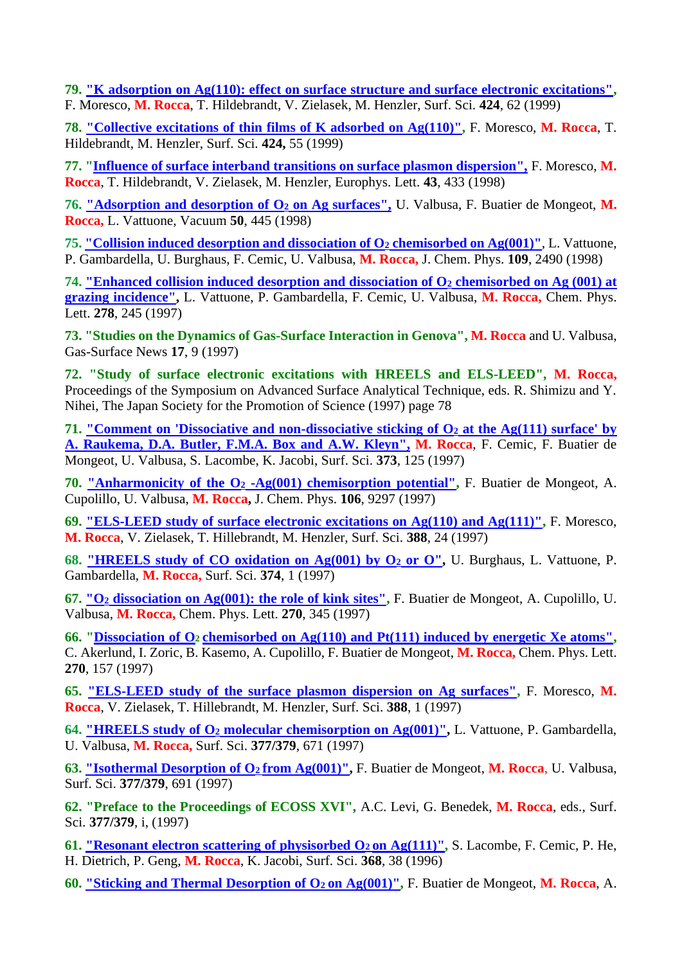**79. ["K adsorption on Ag\(110\): effect on surface structure and surface electronic excitations",](file:///D:/Dati/pagina_web/Files%20pdf%20articoli/SS424_62_K.pdf)** F. Moresco, **M. Rocca**, T. Hildebrandt, V. Zielasek, M. Henzler, Surf. Sci. **424**, 62 (1999)

**78. ["Collective excitations of thin films of K adsorbed on Ag\(110\)",](file:///D:/Dati/pagina_web/Files%20pdf%20articoli/SS424_55_collective.pdf)** F. Moresco, **M. Rocca**, T. Hildebrandt, M. Henzler, Surf. Sci. **424,** 55 (1999)

**77. ["Influence of surface interband transitions on surface plasmon dispersion",](file:///D:/Dati/pagina_web/Files%20pdf%20articoli/EPLMoresco.pdf)** F. Moresco, **M. Rocca**, T. Hildebrandt, V. Zielasek, M. Henzler, Europhys. Lett. **43**, 433 (1998)

**76. ["Adsorption and desorption of O](file:///D:/Dati/pagina_web/Files%20pdf%20articoli/vacuum50.pdf)<sup>2</sup> on Ag surfaces",** U. Valbusa, F. Buatier de Mongeot, **M. Rocca,** L. Vattuone, Vacuum **50**, 445 (1998)

**75. ["Collision induced desorption and dissociation of O](file:///D:/Dati/pagina_web/Files%20pdf%20articoli/jcp109.pdf)<sup>2</sup> chemisorbed on Ag(001)"**, L. Vattuone, P. Gambardella, U. Burghaus, F. Cemic, U. Valbusa, **M. Rocca,** J. Chem. Phys. **109**, 2490 (1998)

**74. ["Enhanced collision induced desorption and dissociation of O](file:///D:/Dati/pagina_web/Files%20pdf%20articoli/cpl278.pdf)<sup>2</sup> chemisorbed on Ag (001) at [grazing incidence",](file:///D:/Dati/pagina_web/Files%20pdf%20articoli/cpl278.pdf)** L. Vattuone, P. Gambardella, F. Cemic, U. Valbusa, **M. Rocca,** Chem. Phys. Lett. **278**, 245 (1997)

**73. "Studies on the Dynamics of Gas-Surface Interaction in Genova", M. Rocca** and U. Valbusa, Gas-Surface News **17**, 9 (1997)

**72. "Study of surface electronic excitations with HREELS and ELS-LEED", M. Rocca,**  Proceedings of the Symposium on Advanced Surface Analytical Technique, eds. R. Shimizu and Y. Nihei, The Japan Society for the Promotion of Science (1997) page 78

**71. ["Comment on 'Dissociative and non-dissociative sticking of O](file:///D:/Dati/pagina_web/Files%20pdf%20articoli/SS373_125_comment.pdf)<sup>2</sup> [at the Ag\(111\) surface' by](file:///D:/Dati/pagina_web/Files%20pdf%20articoli/SS373_125_comment.pdf)  [A. Raukema, D.A. Butler, F.M.A. Box and](file:///D:/Dati/pagina_web/Files%20pdf%20articoli/SS373_125_comment.pdf) A.W. Kleyn", M. Rocca**, F. Cemic, F. Buatier de Mongeot, U. Valbusa, S. Lacombe, K. Jacobi, Surf. Sci. **373**, 125 (1997)

**70. ["Anharmonicity of the O](file:///D:/Dati/pagina_web/Files%20pdf%20articoli/JCP106_9298_anarmonicita.pdf)<sup>2</sup> [-Ag\(001\) chemisorption potential",](file:///D:/Dati/pagina_web/Files%20pdf%20articoli/JCP106_9298_anarmonicita.pdf)** F. Buatier de Mongeot, A. Cupolillo, U. Valbusa, **M. Rocca,** J. Chem. Phys. **106**, 9297 (1997)

**69. ["ELS-LEED study of surface electronic excitations on Ag\(110\) and Ag\(111\)",](file:///D:/Dati/pagina_web/Files%20pdf%20articoli/SS388_24_plasmoni.pdf)** F. Moresco, **M. Rocca**, V. Zielasek, T. Hillebrandt, M. Henzler, Surf. Sci. **388**, 24 (1997)

**68. ["HREELS study of CO oxidation on Ag\(001\) by O](file:///D:/Dati/pagina_web/Files%20pdf%20articoli/ss374.pdf)<sup>2</sup> or O",** U. Burghaus, L. Vattuone, P. Gambardella, **M. Rocca,** Surf. Sci. **374**, 1 (1997)

**67. ["O](file:///D:/Dati/pagina_web/Files%20pdf%20articoli/CPL270_345_kinks.pdf)<sup>2</sup> [dissociation on Ag\(001\): the role of kink sites",](file:///D:/Dati/pagina_web/Files%20pdf%20articoli/CPL270_345_kinks.pdf)** F. Buatier de Mongeot, A. Cupolillo, U. Valbusa, **M. Rocca,** Chem. Phys. Lett. **270**, 345 (1997)

**66. ["Dissociation of](file:///D:/Dati/pagina_web/Files%20pdf%20articoli/CPL270_157_Zoric.pdf) [O](file:///D:/Dati/pagina_web/Files%20pdf%20articoli/CPL270_157_Zoric.pdf)2 [chemisorbed on Ag\(110\) and Pt\(111\) induced by energetic Xe atoms",](file:///D:/Dati/pagina_web/Files%20pdf%20articoli/CPL270_157_Zoric.pdf)** C. Akerlund, I. Zoric, B. Kasemo, A. Cupolillo, F. Buatier de Mongeot, **M. Rocca,** Chem. Phys. Lett. **270**, 157 (1997)

**65. ["ELS-LEED study of the surface plasmon dispersion on Ag surfaces",](file:///D:/Dati/pagina_web/Files%20pdf%20articoli/SS388_1_ELS-LEED.pdf)** F. Moresco, **M. Rocca**, V. Zielasek, T. Hillebrandt, M. Henzler, Surf. Sci. **388**, 1 (1997)

**64. "HREELS study of O<sup>2</sup> [molecular chemisorption on Ag\(001\)",](file:///D:/Dati/pagina_web/Files%20pdf%20articoli/SS377-379_671_O2Gambardella.pdf)** L. Vattuone, P. Gambardella, U. Valbusa, **M. Rocca,** Surf. Sci. **377/379**, 671 (1997)

**63. ["Isothermal Desorption of O](file:///D:/Dati/pagina_web/Files%20pdf%20articoli/SS377-379_691_isothermal.pdf)2 [from Ag\(001\)",](file:///D:/Dati/pagina_web/Files%20pdf%20articoli/SS377-379_691_isothermal.pdf)** F. Buatier de Mongeot, **M. Rocca**, U. Valbusa, Surf. Sci. **377/379**, 691 (1997)

**62. "Preface to the Proceedings of ECOSS XVI",** A.C. Levi, G. Benedek, **M. Rocca**, eds., Surf. Sci. **377/379**, i, (1997)

**61. ["Resonant electron scattering of physisorbed O](file:///D:/Dati/pagina_web/Files%20pdf%20articoli/SS368_38_Jacobi.pdf)2 [on Ag\(111\)",](file:///D:/Dati/pagina_web/Files%20pdf%20articoli/SS368_38_Jacobi.pdf)** S. Lacombe, F. Cemic, P. He, H. Dietrich, P. Geng, **M. Rocca**, K. Jacobi, Surf. Sci. **368**, 38 (1996)

**60. ["Sticking and Thermal Desorption of O](file:///D:/Dati/pagina_web/Files%20pdf%20articoli/JCP106_711_Kreuzer.pdf)2 [on Ag\(001\)",](file:///D:/Dati/pagina_web/Files%20pdf%20articoli/JCP106_711_Kreuzer.pdf)** F. Buatier de Mongeot, **M. Rocca**, A.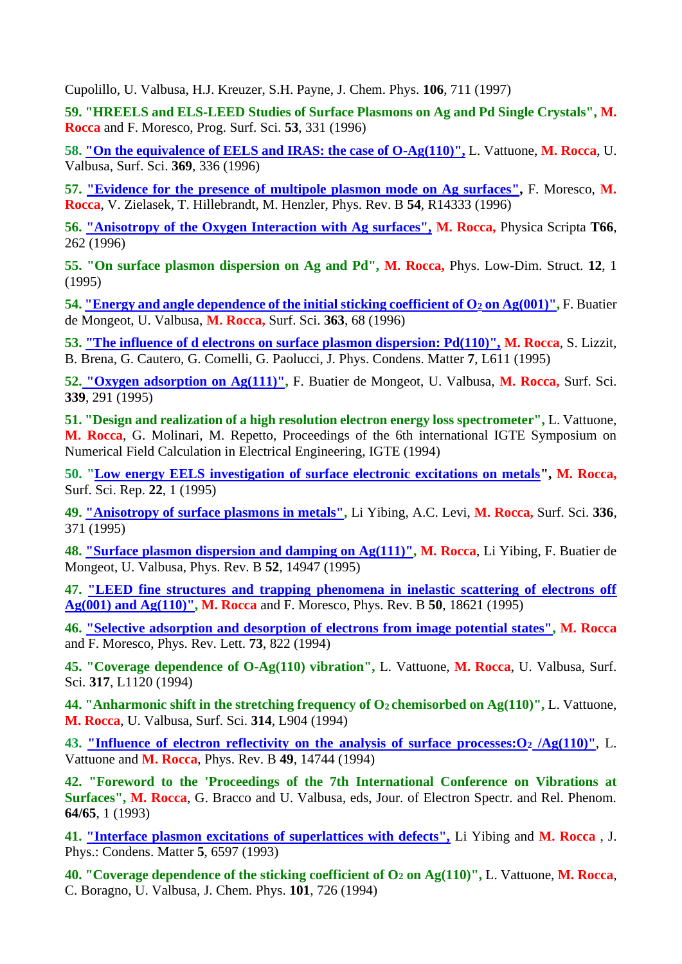Cupolillo, U. Valbusa, H.J. Kreuzer, S.H. Payne, J. Chem. Phys. **106**, 711 (1997)

**59. "HREELS and ELS-LEED Studies of Surface Plasmons on Ag and Pd Single Crystals", M. Rocca** and F. Moresco, Prog. Surf. Sci. **53**, 331 (1996)

**58. ["On the equivalence of EELS and IRAS: the case of O-Ag\(110\)",](file:///D:/Dati/pagina_web/Files%20pdf%20articoli/ss369.pdf)** L. Vattuone, **M. Rocca**, U. Valbusa, Surf. Sci. **369**, 336 (1996)

**57. ["Evidence for the presence of multipole plasmon mode on Ag surfaces](file:///D:/Dati/pagina_web/Files%20pdf%20articoli/PRB54_R14333_multipolo.pdf)[",](file:///D:/Dati/pagina_web/Files%20pdf%20articoli/PRB54_R14333_multipolo)** F. Moresco, **M. Rocca**, V. Zielasek, T. Hillebrandt, M. Henzler, Phys. Rev. B **54**, R14333 (1996)

**56. ["Anisotropy of the Oxygen Interaction with Ag surfaces",](file:///D:/Dati/pagina_web/Files%20pdf%20articoli/physscript66.pdf) M. Rocca,** Physica Scripta **T66**, 262 (1996)

**55. "On surface plasmon dispersion on Ag and Pd", M. Rocca,** Phys. Low-Dim. Struct. **12**, 1 (1995)

**54. ["Energy and angle dependence of the initial sticking coefficient of O](file:///D:/Dati/pagina_web/Files%20pdf%20articoli/SS363_68_Ag100.pdf)<sup>2</sup> [on Ag\(001\)",](file:///D:/Dati/pagina_web/Files%20pdf%20articoli/SS363_68_Ag100.pdf)** F. Buatier de Mongeot, U. Valbusa, **M. Rocca,** Surf. Sci. **363**, 68 (1996)

**53. ["The influence of d electrons on surface plasmon dispersion: Pd\(110\)",](file:///D:/Dati/pagina_web/Files%20pdf%20articoli/JPC96Pd.pdf) M. Rocca**, S. Lizzit, B. Brena, G. Cautero, G. Comelli, G. Paolucci, J. Phys. Condens. Matter **7**, L611 (1995)

**52. ["Oxygen adsorption on Ag\(111\)",](file:///D:/Dati/pagina_web/Files%20pdf%20articoli/SS339_291_Ag111.pdf)** F. Buatier de Mongeot, U. Valbusa, **M. Rocca,** Surf. Sci. **339**, 291 (1995)

**51. "Design and realization of a high resolution electron energy loss spectrometer",** L. Vattuone, **M. Rocca**, G. Molinari, M. Repetto, Proceedings of the 6th international IGTE Symposium on Numerical Field Calculation in Electrical Engineering, IGTE (1994)

**50. ["Low energy EELS investigation of surface electronic excitations on metals"](file:///D:/Dati/pagina_web/Files%20pdf%20articoli/SSRep_plasmoni.pdf), M. Rocca,**  Surf. Sci. Rep. **22**, 1 (1995)

**49. ["Anisotropy of surface plasmons in metals",](file:///D:/Dati/pagina_web/Files%20pdf%20articoli/SS336_371_LiYibing)** Li Yibing, A.C. Levi, **M. Rocca,** Surf. Sci. **336**, 371 (1995)

**48. ["Surface plasmon dispersion and damping on Ag\(111\)",](file:///D:/Dati/pagina_web/Files%20pdf%20articoli/PRB52_14947_plasmoniAg111.pdf) M. Rocca**, Li Yibing, F. Buatier de Mongeot, U. Valbusa, Phys. Rev. B **52**, 14947 (1995)

**47. ["LEED fine structures and trapping phenomena in inelastic scattering of electrons off](file:///D:/Dati/pagina_web/Files%20pdf%20articoli/PRB50_18621_Finestructures.pdf)  [Ag\(001\) and Ag\(110\)",](file:///D:/Dati/pagina_web/Files%20pdf%20articoli/PRB50_18621_Finestructures.pdf) M. Rocca** and F. Moresco, Phys. Rev. B **50**, 18621 (1995)

**46. ["Selective adsorption and desorption of electrons from image potential states",](file:///D:/Dati/pagina_web/Files%20pdf%20articoli/PRL73_822_selective.pdf) M. Rocca** and F. Moresco, Phys. Rev. Lett. **73**, 822 (1994)

**45. "Coverage dependence of O-Ag(110) vibration",** L. Vattuone, **M. Rocca**, U. Valbusa, Surf. Sci. **317**, L1120 (1994)

**44. "Anharmonic shift in the stretching frequency of O2 chemisorbed on Ag(110)",** L. Vattuone, **M. Rocca**, U. Valbusa, Surf. Sci. **314**, L904 (1994)

**43. ["Influence of electron reflectivity on the analysis of surface processes:O](file:///D:/Dati/pagina_web/Files%20pdf%20articoli/prb49_14744.pdf)<sup>2</sup> /Ag(110)"**, L. Vattuone and **M. Rocca**, Phys. Rev. B **49**, 14744 (1994)

**42. "Foreword to the 'Proceedings of the 7th International Conference on Vibrations at Surfaces", M. Rocca**, G. Bracco and U. Valbusa, eds, Jour. of Electron Spectr. and Rel. Phenom. **64/65**, 1 (1993)

**41. ["Interface plasmon excitations of superlattices with defects",](file:///D:/Dati/pagina_web/Files%20pdf%20articoli/JPC93LiYibing.pdf)** Li Yibing and **M. Rocca** , J. Phys.: Condens. Matter **5**, 6597 (1993)

**40. "Coverage dependence of the sticking coefficient of O<sup>2</sup> on Ag(110)",** L. Vattuone, **M. Rocca**, C. Boragno, U. Valbusa, J. Chem. Phys. **101**, 726 (1994)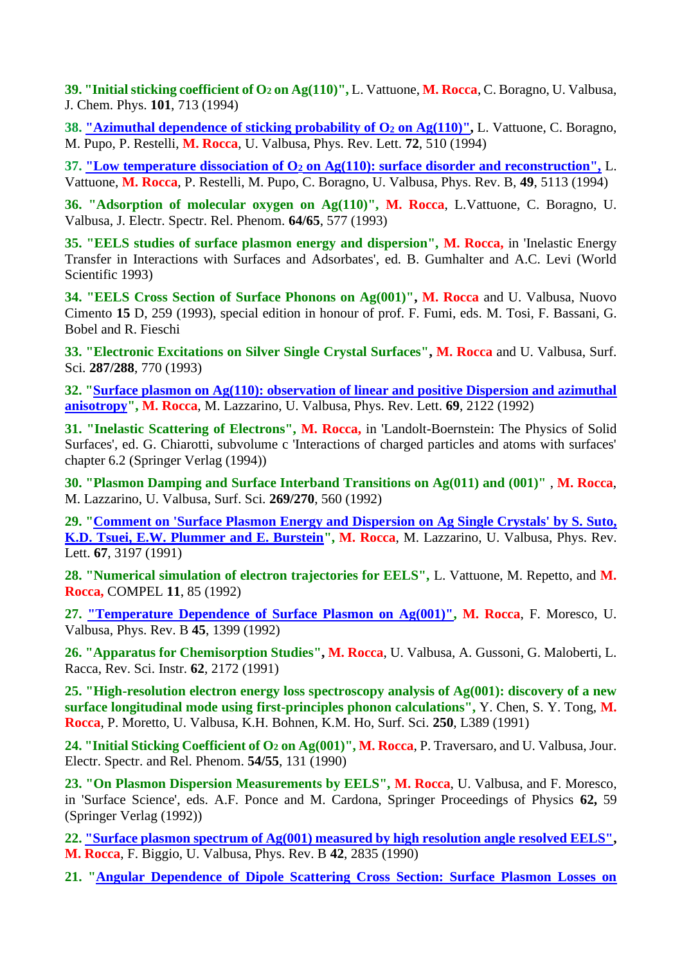**39. "Initial sticking coefficient of O<sup>2</sup> on Ag(110)",** L. Vattuone, **M. Rocca**, C. Boragno, U. Valbusa, J. Chem. Phys. **101**, 713 (1994)

**38. ["Azimuthal dependence of sticking probability of O](file:///D:/Dati/pagina_web/Files%20pdf%20articoli/prl72.pdf)<sup>2</sup> on Ag(110)",** L. Vattuone, C. Boragno, M. Pupo, P. Restelli, **M. Rocca**, U. Valbusa, Phys. Rev. Lett. **72**, 510 (1994)

**37. "Low temperature dissociation of O<sup>2</sup> [on Ag\(110\): surface disorder and reconstruction",](file:///D:/Dati/pagina_web/Files%20pdf%20articoli/prb49_5113.pdf)** L. Vattuone, **M. Rocca**, P. Restelli, M. Pupo, C. Boragno, U. Valbusa, Phys. Rev. B, **49**, 5113 (1994)

**36. "Adsorption of molecular oxygen on Ag(110)", M. Rocca**, L.Vattuone, C. Boragno, U. Valbusa, J. Electr. Spectr. Rel. Phenom. **64/65**, 577 (1993)

**35. "EELS studies of surface plasmon energy and dispersion", M. Rocca,** in 'Inelastic Energy Transfer in Interactions with Surfaces and Adsorbates', ed. B. Gumhalter and A.C. Levi (World Scientific 1993)

**34. "EELS Cross Section of Surface Phonons on Ag(001)", M. Rocca** and U. Valbusa, Nuovo Cimento **15** D, 259 (1993), special edition in honour of prof. F. Fumi, eds. M. Tosi, F. Bassani, G. Bobel and R. Fieschi

**33. "Electronic Excitations on Silver Single Crystal Surfaces", M. Rocca** and U. Valbusa, Surf. Sci. **287/288**, 770 (1993)

**32. ["Surface plasmon on Ag\(110\): observation of linear and positive Dispersion and azimuthal](file:///D:/Dati/pagina_web/Files%20pdf%20articoli/prl69_1992.pdf)  [anisotropy"](file:///D:/Dati/pagina_web/Files%20pdf%20articoli/prl69_1992.pdf), M. Rocca**, M. Lazzarino, U. Valbusa, Phys. Rev. Lett. **69**, 2122 (1992)

**31. "Inelastic Scattering of Electrons", M. Rocca,** in 'Landolt-Boernstein: The Physics of Solid Surfaces', ed. G. Chiarotti, subvolume c 'Interactions of charged particles and atoms with surfaces' chapter 6.2 (Springer Verlag (1994))

**30. "Plasmon Damping and Surface Interband Transitions on Ag(011) and (001)"** , **M. Rocca**, M. Lazzarino, U. Valbusa, Surf. Sci. **269/270**, 560 (1992)

**29. ["Comment on 'Surface Plasmon Energy and Dispersion on Ag Single Crystals' by S. Suto,](file:///D:/Dati/pagina_web/Files%20pdf%20articoli/prl67_1991.pdf)  [K.D. Tsuei, E.W. Plummer and E. Burstein"](file:///D:/Dati/pagina_web/Files%20pdf%20articoli/prl67_1991.pdf), M. Rocca**, M. Lazzarino, U. Valbusa, Phys. Rev. Lett. **67**, 3197 (1991)

**28. "Numerical simulation of electron trajectories for EELS",** L. Vattuone, M. Repetto, and **M. Rocca,** COMPEL **11**, 85 (1992)

**27. ["Temperature Dependence of Surface Plasmon on Ag\(001\)",](file:///D:/Dati/pagina_web/Files%20pdf%20articoli/PRB45_1399_plasmonitemp.pdf) M. Rocca**, F. Moresco, U. Valbusa, Phys. Rev. B **45**, 1399 (1992)

**26. "Apparatus for Chemisorption Studies", M. Rocca**, U. Valbusa, A. Gussoni, G. Maloberti, L. Racca, Rev. Sci. Instr. **62**, 2172 (1991)

**25. "High-resolution electron energy loss spectroscopy analysis of Ag(001): discovery of a new surface longitudinal mode using first-principles phonon calculations",** Y. Chen, S. Y. Tong, **M. Rocca**, P. Moretto, U. Valbusa, K.H. Bohnen, K.M. Ho, Surf. Sci. **250**, L389 (1991)

**24. "Initial Sticking Coefficient of O<sup>2</sup> on Ag(001)", M. Rocca**, P. Traversaro, and U. Valbusa, Jour. Electr. Spectr. and Rel. Phenom. **54/55**, 131 (1990)

**23. "On Plasmon Dispersion Measurements by EELS", M. Rocca**, U. Valbusa, and F. Moresco, in 'Surface Science', eds. A.F. Ponce and M. Cardona, Springer Proceedings of Physics **62,** 59 (Springer Verlag (1992))

**22. ["Surface plasmon spectrum of Ag\(001\) measured by high resolution angle resolved EELS",](file:///D:/Dati/pagina_web/Files%20pdf%20articoli/PRB42_2835_plasmoniAg100.pdf) M. Rocca**, F. Biggio, U. Valbusa, Phys. Rev. B **42**, 2835 (1990)

**21. ["Angular Dependence of Dipole Scattering Cross Section: Surface Plasmon Losses on](file:///D:/Dati/pagina_web/Files%20pdf%20articoli/prl64_1990.pdf)**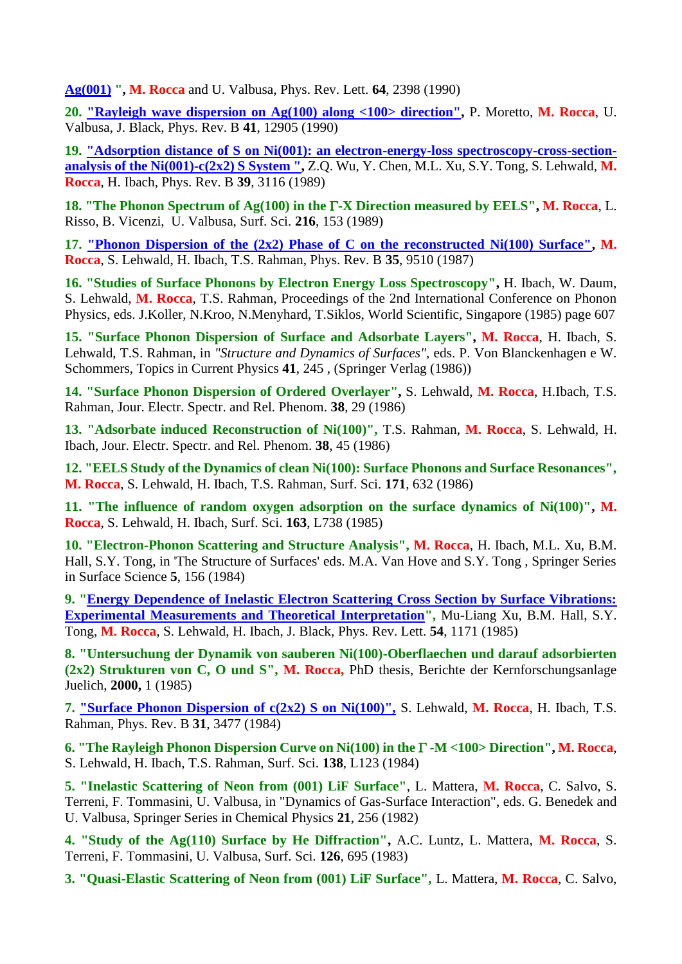**[Ag\(001\)](file:///D:/Dati/pagina_web/Files%20pdf%20articoli/prl64_1990.pdf) ", M. Rocca** and U. Valbusa, Phys. Rev. Lett. **64**, 2398 (1990)

**20. ["Rayleigh wave dispersion on Ag\(100\) along <100> direction",](file:///D:/Dati/pagina_web/Files%20pdf%20articoli/PRB41_12905_Moretto.pdf)** P. Moretto, **M. Rocca**, U. Valbusa, J. Black, Phys. Rev. B **41**, 12905 (1990)

**19. ["Adsorption distance of S on Ni\(001\): an electron-energy-loss spectroscopy-cross-section](file:///D:/Dati/pagina_web/Files%20pdf%20articoli/PRB39_3116_Tong.pdf)[analysis of the Ni\(001\)-c\(2x2\) S System ",](file:///D:/Dati/pagina_web/Files%20pdf%20articoli/PRB39_3116_Tong.pdf)** Z.Q. Wu, Y. Chen, M.L. Xu, S.Y. Tong, S. Lehwald, **M. Rocca**, H. Ibach, Phys. Rev. B **39**, 3116 (1989)

**18. "The Phonon Spectrum of Ag(100) in the -X Direction measured by EELS", M. Rocca**, L. Risso, B. Vicenzi, U. Valbusa, Surf. Sci. **216**, 153 (1989)

**17. ["Phonon Dispersion of the \(2x2\) Phase of C on the reconstructed Ni\(100\) Surface",](file:///D:/Dati/pagina_web/Files%20pdf%20articoli/PRB35_9510_fononiC.pdf) M. Rocca**, S. Lehwald, H. Ibach, T.S. Rahman, Phys. Rev. B **35**, 9510 (1987)

**16. "Studies of Surface Phonons by Electron Energy Loss Spectroscopy",** H. Ibach, W. Daum, S. Lehwald, **M. Rocca**, T.S. Rahman, Proceedings of the 2nd International Conference on Phonon Physics, eds. J.Koller, N.Kroo, N.Menyhard, T.Siklos, World Scientific, Singapore (1985) page 607

**15. "Surface Phonon Dispersion of Surface and Adsorbate Layers", M. Rocca**, H. Ibach, S. Lehwald, T.S. Rahman, in *"Structure and Dynamics of Surfaces",* eds. P. Von Blanckenhagen e W. Schommers, Topics in Current Physics **41**, 245 , (Springer Verlag (1986))

**14. "Surface Phonon Dispersion of Ordered Overlayer",** S. Lehwald, **M. Rocca**, H.Ibach, T.S. Rahman, Jour. Electr. Spectr. and Rel. Phenom. **38**, 29 (1986)

**13. "Adsorbate induced Reconstruction of Ni(100)",** T.S. Rahman, **M. Rocca**, S. Lehwald, H. Ibach, Jour. Electr. Spectr. and Rel. Phenom. **38**, 45 (1986)

**12. "EELS Study of the Dynamics of clean Ni(100): Surface Phonons and Surface Resonances", M. Rocca**, S. Lehwald, H. Ibach, T.S. Rahman, Surf. Sci. **171**, 632 (1986)

**11. "The influence of random oxygen adsorption on the surface dynamics of Ni(100)", M. Rocca**, S. Lehwald, H. Ibach, Surf. Sci. **163**, L738 (1985)

**10. "Electron-Phonon Scattering and Structure Analysis", M. Rocca**, H. Ibach, M.L. Xu, B.M. Hall, S.Y. Tong, in 'The Structure of Surfaces' eds. M.A. Van Hove and S.Y. Tong , Springer Series in Surface Science **5**, 156 (1984)

**9. ["Energy Dependence of Inelastic Electron Scattering Cross Section by Surface Vibrations:](file:///D:/Dati/pagina_web/Files%20pdf%20articoli/prl54_1171.pdf)  [Experimental Measurements and Theoretical Interpretation"](file:///D:/Dati/pagina_web/Files%20pdf%20articoli/prl54_1171.pdf),** Mu-Liang Xu, B.M. Hall, S.Y. Tong, **M. Rocca**, S. Lehwald, H. Ibach, J. Black, Phys. Rev. Lett. **54**, 1171 (1985)

**8. "Untersuchung der Dynamik von sauberen Ni(100)-Oberflaechen und darauf adsorbierten (2x2) Strukturen von C, O und S", M. Rocca,** PhD thesis, Berichte der Kernforschungsanlage Juelich, **2000,** 1 (1985)

**7. ["Surface Phonon Dispersion of c\(2x2\) S on Ni\(100\)",](file:///D:/Dati/pagina_web/Files%20pdf%20articoli/PRB31_3477_fononiS.pdf)** S. Lehwald, **M. Rocca**, H. Ibach, T.S. Rahman, Phys. Rev. B **31**, 3477 (1984)

**6. "The Rayleigh Phonon Dispersion Curve on Ni(100) in the -M <100> Direction", M. Rocca**, S. Lehwald, H. Ibach, T.S. Rahman, Surf. Sci. **138**, L123 (1984)

**5. "Inelastic Scattering of Neon from (001) LiF Surface"**, L. Mattera, **M. Rocca**, C. Salvo, S. Terreni, F. Tommasini, U. Valbusa, in "Dynamics of Gas-Surface Interaction", eds. G. Benedek and U. Valbusa, Springer Series in Chemical Physics **21**, 256 (1982)

**4. "Study of the Ag(110) Surface by He Diffraction",** A.C. Luntz, L. Mattera, **M. Rocca**, S. Terreni, F. Tommasini, U. Valbusa, Surf. Sci. **126**, 695 (1983)

**3. "Quasi-Elastic Scattering of Neon from (001) LiF Surface",** L. Mattera, **M. Rocca**, C. Salvo,